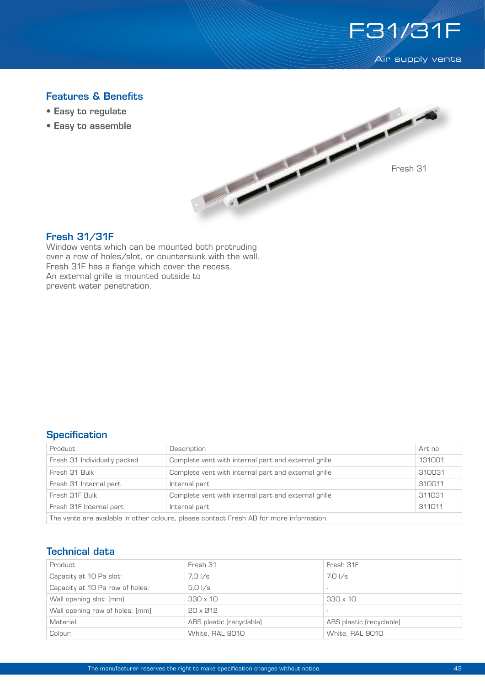

**Air supply vents** 

# Features & Benefits

- Easy to regulate
- Easy to assemble



#### Fresh 31/31F

Window vents which can be mounted both protruding over a row of holes/slot, or countersunk with the wall. Fresh 31F has a flange which cover the recess. An external grille is mounted outside to prevent water penetration.

## **Specification**

| Product                                                                                 | Description                                          | Art no |  |  |
|-----------------------------------------------------------------------------------------|------------------------------------------------------|--------|--|--|
| Fresh 31 Individually packed                                                            | Complete vent with internal part and external grille | 131001 |  |  |
| Fresh 31 Bulk                                                                           | Complete vent with internal part and external grille | 310031 |  |  |
| Fresh 31 Internal part                                                                  | Internal part                                        | 310011 |  |  |
| Fresh 31F Bulk                                                                          | Complete vent with internal part and external grille | 311031 |  |  |
| Fresh 31F Internal part                                                                 | Internal part                                        | 311011 |  |  |
| The vents are available in other colours, please contact Fresh AB for more information. |                                                      |        |  |  |

## Technical data

| Product                         | Fresh 31                 | Fresh 31F                |
|---------------------------------|--------------------------|--------------------------|
| Capacity at 10 Pa slot:         | 7.0 I/s                  | 7.01/s                   |
| Capacity at 10 Pa row of holes: | $5.0\sqrt{s}$            |                          |
| Wall opening slot: (mm)         | 330 x 10                 | $330 \times 10$          |
| Wall opening row of holes: [mm] | $20 \times 212$          |                          |
| Material:                       | ABS plastic (recyclable) | ABS plastic (recyclable) |
| Colour:                         | White, RAL 9010          | White, RAL 9010          |